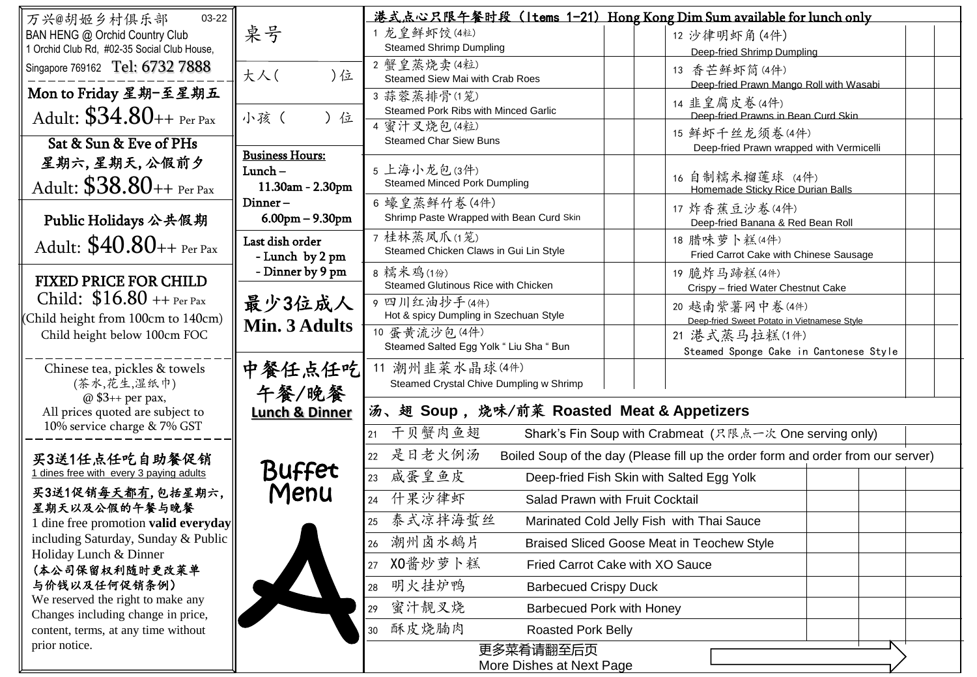| 03-22<br>万兴@胡姬乡村俱乐部                          |                           | 港式点心只限午餐时段 (Items 1-21) Hong Kong Dim Sum available for lunch only |                                                                                  |  |  |  |  |
|----------------------------------------------|---------------------------|--------------------------------------------------------------------|----------------------------------------------------------------------------------|--|--|--|--|
| BAN HENG @ Orchid Country Club               | 桌号                        | 1 龙皇鲜虾饺(4粒)                                                        | 12 沙律明虾角(4件)                                                                     |  |  |  |  |
| 1 Orchid Club Rd, #02-35 Social Club House,  |                           | <b>Steamed Shrimp Dumpling</b>                                     | Deep-fried Shrimp Dumpling                                                       |  |  |  |  |
| Singapore 769162 Tel: 6732 7888              |                           | 2 蟹皇蒸烧卖(4粒)                                                        | 13 香芒鲜虾筒(4件)                                                                     |  |  |  |  |
|                                              | 大人(<br>)位                 | Steamed Siew Mai with Crab Roes                                    | Deep-fried Prawn Mango Roll with Wasabi                                          |  |  |  |  |
| Mon to Friday 星期-至星期五                        |                           | 3蒜蓉蒸排骨(1笼)                                                         | 14 韭皇腐皮卷(4件)                                                                     |  |  |  |  |
| Adult: $$34.80++$ Per Pax                    | 小孩(<br>) 位                | Steamed Pork Ribs with Minced Garlic                               | Deep-fried Prawns in Bean Curd Skin                                              |  |  |  |  |
|                                              |                           | 4 蜜汁叉烧包(4粒)<br><b>Steamed Char Siew Buns</b>                       | 15 鲜虾千丝龙须卷(4件)                                                                   |  |  |  |  |
| Sat & Sun & Eve of PHs                       | <b>Business Hours:</b>    |                                                                    | Deep-fried Prawn wrapped with Vermicelli                                         |  |  |  |  |
| 星期六,星期天,公假前夕                                 | $Lunch -$                 | 5 上海小龙包(3件)                                                        |                                                                                  |  |  |  |  |
| Adult: $$38.80 +$ + Per Pax                  | 11.30am - 2.30pm          | <b>Steamed Minced Pork Dumpling</b>                                | 16 自制糯米榴莲球 (4件)<br>Homemade Sticky Rice Durian Balls                             |  |  |  |  |
|                                              | Dinner-                   | 6 蠔皇蒸鲜竹卷(4件)                                                       | 17 炸香蕉豆沙卷(4件)                                                                    |  |  |  |  |
| Public Holidays 公共假期                         | $6.00$ pm $- 9.30$ pm     | Shrimp Paste Wrapped with Bean Curd Skin                           | Deep-fried Banana & Red Bean Roll                                                |  |  |  |  |
|                                              | Last dish order           | 7桂林蒸凤爪(1笼)                                                         | 18 腊味萝卜糕(4件)                                                                     |  |  |  |  |
| Adult: $$40.80++$ Per Pax                    | - Lunch by 2 pm           | Steamed Chicken Claws in Gui Lin Style                             | Fried Carrot Cake with Chinese Sausage                                           |  |  |  |  |
| <b>FIXED PRICE FOR CHILD</b>                 | - Dinner by 9 pm          | 8 糯米鸡(1份)                                                          | 19 脆炸马蹄糕(4件)                                                                     |  |  |  |  |
|                                              |                           | Steamed Glutinous Rice with Chicken                                | Crispy - fried Water Chestnut Cake                                               |  |  |  |  |
| Child: $$16.80 + P$ Per Pax                  | 最少3位成人<br>9 四川红油抄手(4件)    |                                                                    | 20 越南紫薯网中卷(4件)                                                                   |  |  |  |  |
| Child height from 100cm to 140cm)            | Min. 3 Adults             | Hot & spicy Dumpling in Szechuan Style<br>10 蛋黄流沙包 (4件)            | Deep-fried Sweet Potato in Vietnamese Style                                      |  |  |  |  |
| Child height below 100cm FOC                 |                           | Steamed Salted Egg Yolk " Liu Sha " Bun                            | 21 港式蒸马拉糕(1件)                                                                    |  |  |  |  |
|                                              |                           |                                                                    | Steamed Sponge Cake in Cantonese Style                                           |  |  |  |  |
| Chinese tea, pickles & towels<br>(茶水,花生,湿纸巾) | 中餐任点任吃                    | 11 潮州韭菜水晶球(4件)<br>Steamed Crystal Chive Dumpling w Shrimp          |                                                                                  |  |  |  |  |
| @ \$3++ per pax,                             | 午餐/晚餐                     |                                                                    |                                                                                  |  |  |  |  |
| All prices quoted are subject to             | <b>Lunch &amp; Dinner</b> | 汤、翅 Soup, 烧味/前菜 Roasted Meat & Appetizers                          |                                                                                  |  |  |  |  |
| 10% service charge & 7% GST                  |                           | 干贝蟹肉鱼翅<br>21                                                       | Shark's Fin Soup with Crabmeat (尺限点一次 One serving only)                          |  |  |  |  |
|                                              |                           | 是日老火例汤                                                             |                                                                                  |  |  |  |  |
| 买3送1任点任吃自助餐促销                                | <b>Buffet</b>             | 22                                                                 | Boiled Soup of the day (Please fill up the order form and order from our server) |  |  |  |  |
| 1 dines free with every 3 paying adults      |                           | 咸蛋皇鱼皮<br>Deep-fried Fish Skin with Salted Egg Yolk<br>23           |                                                                                  |  |  |  |  |
| 买3送1促销每天都有,包括星期六,<br>星期天以及公假的午餐与晚餐           | Menu                      | 什果沙律虾<br>24                                                        | Salad Prawn with Fruit Cocktail                                                  |  |  |  |  |
| dine free promotion valid everyday           |                           | 泰式凉拌海蜇丝<br>25                                                      | Marinated Cold Jelly Fish with Thai Sauce                                        |  |  |  |  |
| including Saturday, Sunday & Public          |                           | 潮州卤水鹅片<br>26                                                       | <b>Braised Sliced Goose Meat in Teochew Style</b>                                |  |  |  |  |
| Holiday Lunch & Dinner                       |                           | 27 X0 酱炒萝卜糕                                                        | Fried Carrot Cake with XO Sauce                                                  |  |  |  |  |
| (本公司保留权利随时更改菜单<br>与价钱以及任何促销条例)               |                           |                                                                    |                                                                                  |  |  |  |  |
| We reserved the right to make any            |                           | 明火挂炉鸭<br><b>Barbecued Crispy Duck</b><br>28                        |                                                                                  |  |  |  |  |
| Changes including change in price,           |                           | 蜜汁靓叉烧<br>29                                                        | <b>Barbecued Pork with Honey</b>                                                 |  |  |  |  |
|                                              |                           |                                                                    |                                                                                  |  |  |  |  |
| content, terms, at any time without          |                           | 酥皮烧腩肉<br>Roasted Pork Belly<br>30                                  |                                                                                  |  |  |  |  |
| prior notice.                                |                           | 更多菜肴请翻至后页                                                          |                                                                                  |  |  |  |  |

π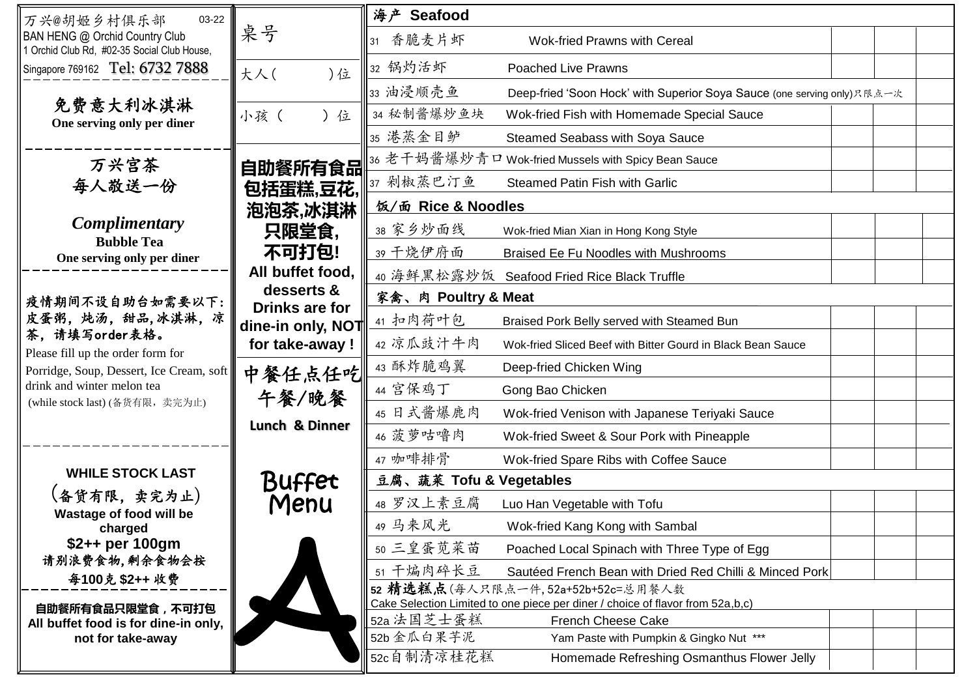| 03-22<br>万兴@胡姬乡村俱乐部                                                                                                                                                                                       |                              | 海产 Seafood              |                                                                                                                     |  |
|-----------------------------------------------------------------------------------------------------------------------------------------------------------------------------------------------------------|------------------------------|-------------------------|---------------------------------------------------------------------------------------------------------------------|--|
| BAN HENG @ Orchid Country Club<br>1 Orchid Club Rd, #02-35 Social Club House,                                                                                                                             | 桌号                           | 31 香脆麦片虾                | <b>Wok-fried Prawns with Cereal</b>                                                                                 |  |
| Singapore 769162 Tel: 6732 7888                                                                                                                                                                           | )位<br>大人(                    | 32 锅灼活虾                 | <b>Poached Live Prawns</b>                                                                                          |  |
| 免费意大利冰淇淋<br>One serving only per diner                                                                                                                                                                    |                              | 33 油浸顺壳鱼                | Deep-fried 'Soon Hock' with Superior Soya Sauce (one serving only) 只限点一次                                            |  |
|                                                                                                                                                                                                           | 小孩(<br>) 位                   | 34 秘制酱爆炒鱼块              | Wok-fried Fish with Homemade Special Sauce                                                                          |  |
|                                                                                                                                                                                                           |                              | 35 港蒸金目鲈                | Steamed Seabass with Soya Sauce                                                                                     |  |
| 万兴宫茶                                                                                                                                                                                                      | 自助餐所有食品                      |                         | 36 老千妈酱爆炒青口 Wok-fried Mussels with Spicy Bean Sauce                                                                 |  |
| 每人敬送一份                                                                                                                                                                                                    | 包括蛋糕,豆花,                     | 37 剁椒蒸巴汀鱼               | Steamed Patin Fish with Garlic                                                                                      |  |
|                                                                                                                                                                                                           | 泡泡茶,冰淇淋                      | 饭/面 Rice & Noodles      |                                                                                                                     |  |
| <i>Complimentary</i><br><b>Bubble Tea</b>                                                                                                                                                                 | 只限堂食,                        | 38 家乡炒面线                | Wok-fried Mian Xian in Hong Kong Style                                                                              |  |
| One serving only per diner                                                                                                                                                                                | 不可打包!                        | 39 干烧伊府面                | Braised Ee Fu Noodles with Mushrooms                                                                                |  |
|                                                                                                                                                                                                           | All buffet food,             |                         | 40 海鲜黑松露炒饭 Seafood Fried Rice Black Truffle                                                                         |  |
| 疫情期间不设自助台如需要以下:<br>皮蛋粥, 炖汤, 甜品,冰淇淋, 凉<br>茶, 请填写order表格。<br>Please fill up the order form for<br>Porridge, Soup, Dessert, Ice Cream, soft<br>drink and winter melon tea<br>(while stock last) (备货有限, 卖完为止) | desserts &<br>Drinks are for | 家禽、肉 Poultry & Meat     |                                                                                                                     |  |
|                                                                                                                                                                                                           | dine-in only, NOT            | 41 扣肉荷叶包                | Braised Pork Belly served with Steamed Bun                                                                          |  |
|                                                                                                                                                                                                           | for take-away !              | 42 凉瓜豉汁牛肉               | Wok-fried Sliced Beef with Bitter Gourd in Black Bean Sauce                                                         |  |
|                                                                                                                                                                                                           | 中餐任点任吃                       | 43 酥炸脆鸡翼                | Deep-fried Chicken Wing                                                                                             |  |
|                                                                                                                                                                                                           | 午餐/晚餐                        | 44 宫保鸡丁                 | Gong Bao Chicken                                                                                                    |  |
|                                                                                                                                                                                                           | Lunch & Dinner               | 45 日式酱爆鹿肉               | Wok-fried Venison with Japanese Teriyaki Sauce                                                                      |  |
|                                                                                                                                                                                                           |                              | 46 菠萝咕噜肉                | Wok-fried Sweet & Sour Pork with Pineapple                                                                          |  |
| <b>WHILE STOCK LAST</b>                                                                                                                                                                                   |                              | 47 咖啡排骨                 | Wok-fried Spare Ribs with Coffee Sauce                                                                              |  |
|                                                                                                                                                                                                           | Buffet                       | 豆腐、蔬菜 Tofu & Vegetables |                                                                                                                     |  |
| (备货有限,卖完为止)<br>Wastage of food will be                                                                                                                                                                    | Menu                         | 48 罗汉上素豆腐               | Luo Han Vegetable with Tofu                                                                                         |  |
| charged                                                                                                                                                                                                   |                              | 49 马来风光                 | Wok-fried Kang Kong with Sambal                                                                                     |  |
| \$2++ per 100gm<br>请别浪费食物,剩余食物会按                                                                                                                                                                          |                              | 50 三皇蛋苋菜苗               | Poached Local Spinach with Three Type of Egg                                                                        |  |
| 每100克 \$2++ 收费                                                                                                                                                                                            |                              | 51 干煸肉碎长豆               | Sautéed French Bean with Dried Red Chilli & Minced Pork                                                             |  |
| 自助餐所有食品只限堂食,不可打包                                                                                                                                                                                          |                              |                         | 52 精选糕点(每人只限点一件,52a+52b+52c=总用餐人数<br>Cake Selection Limited to one piece per diner / choice of flavor from 52a,b,c) |  |
| All buffet food is for dine-in only,                                                                                                                                                                      |                              | 52a 法国芝士蛋糕              | <b>French Cheese Cake</b>                                                                                           |  |
| not for take-away                                                                                                                                                                                         |                              | 52b 金瓜白果芋泥              | Yam Paste with Pumpkin & Gingko Nut ***                                                                             |  |
|                                                                                                                                                                                                           |                              | 52c自制清凉桂花糕              | Homemade Refreshing Osmanthus Flower Jelly                                                                          |  |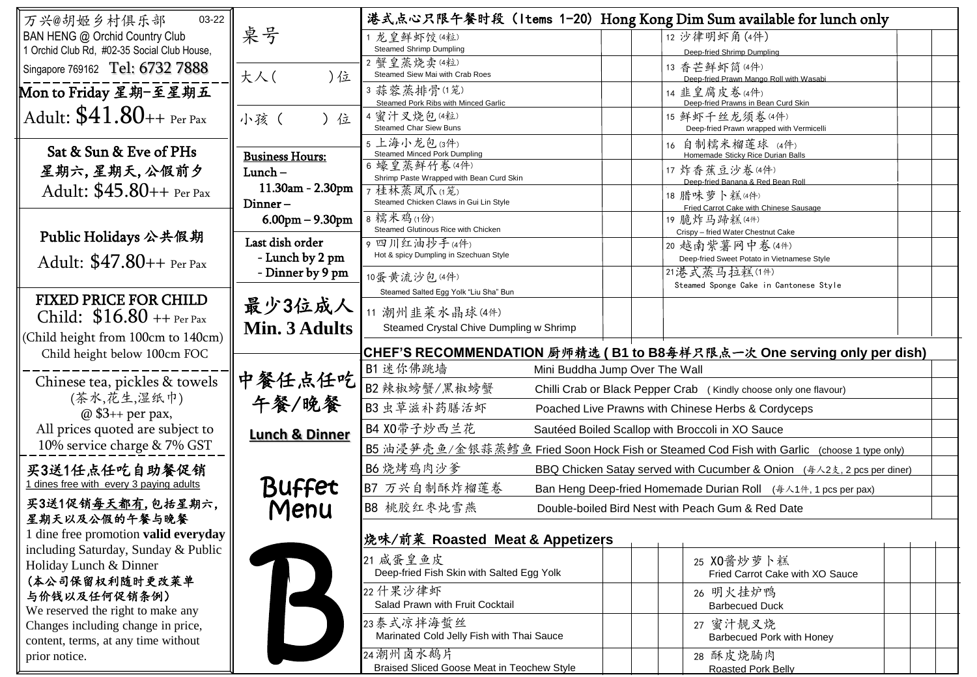| 03-22<br>万兴@胡姬乡村俱乐部                                                       |                                              |                                                                                                 |  |  |                                                      | 港式点心只限午餐时段 (Items 1-20) Hong Kong Dim Sum available for lunch only                             |  |  |
|---------------------------------------------------------------------------|----------------------------------------------|-------------------------------------------------------------------------------------------------|--|--|------------------------------------------------------|------------------------------------------------------------------------------------------------|--|--|
| BAN HENG @ Orchid Country Club                                            | 桌号                                           | 1 龙皇鲜虾饺(4粒)                                                                                     |  |  | 12 沙律明虾角(4件)                                         |                                                                                                |  |  |
| 1 Orchid Club Rd, #02-35 Social Club House,                               |                                              | <b>Steamed Shrimp Dumpling</b>                                                                  |  |  |                                                      | Deep-fried Shrimp Dumpling                                                                     |  |  |
| Singapore 769162 Tel: 6732 7888                                           | 大人(<br>)位                                    | 2 蟹皇蒸烧卖(4粒)<br>Steamed Siew Mai with Crab Roes                                                  |  |  |                                                      | 13 香芒鲜虾筒(4件)                                                                                   |  |  |
| Mon to Friday 星期-至星期五                                                     |                                              | 3蒜蓉蒸排骨(1笼)<br>Steamed Pork Ribs with Minced Garlic                                              |  |  |                                                      | Deep-fried Prawn Mango Roll with Wasabi<br>14 韭皇腐皮卷(4件)<br>Deep-fried Prawns in Bean Curd Skin |  |  |
| Adult: $$41.80++$ Per Pax                                                 | 小孩 (<br>) 位                                  | 4 蜜汁叉烧包(4粒)<br><b>Steamed Char Siew Buns</b>                                                    |  |  |                                                      | 15 鲜虾千丝龙须卷(4件)<br>Deep-fried Prawn wrapped with Vermicelli                                     |  |  |
| Sat & Sun & Eve of PHs                                                    | <b>Business Hours:</b>                       | 5 上海小龙包(3件)<br><b>Steamed Minced Pork Dumpling</b>                                              |  |  |                                                      | 16 自制糯米榴莲球 (4件)<br>Homemade Sticky Rice Durian Balls                                           |  |  |
| 星期六,星期天,公假前夕                                                              | $Lunch -$                                    | 6 蠔皇蒸鲜竹卷(4件)<br>Shrimp Paste Wrapped with Bean Curd Skin                                        |  |  |                                                      | 17 炸香蕉豆沙卷(4件)                                                                                  |  |  |
| Adult: \$45.80++ Per Pax                                                  | 11.30am - 2.30pm<br>$Dinner-$                | 7桂林蒸凤爪(度)<br>Steamed Chicken Claws in Gui Lin Style                                             |  |  | Deep-fried Banana & Red Bean Rol<br>18 腊味萝卜糕(4件)     |                                                                                                |  |  |
|                                                                           | $6.00$ pm $- 9.30$ pm                        | 8 糯米鸡(1份)<br>Steamed Glutinous Rice with Chicken                                                |  |  |                                                      | Fried Carrot Cake with Chinese Sausage<br>19 脆炸马蹄糕(4件)                                         |  |  |
| Public Holidays 公共假期                                                      | Last dish order                              | 9 四川红油抄手(4件)                                                                                    |  |  | Crispy - fried Water Chestnut Cake<br>20 越南紫薯网中卷(4件) |                                                                                                |  |  |
| Adult: \$47.80++ Per Pax                                                  | - Lunch by 2 pm                              | Hot & spicy Dumpling in Szechuan Style                                                          |  |  |                                                      | Deep-fried Sweet Potato in Vietnamese Style<br>21 港式蒸马拉糕(1件)                                   |  |  |
|                                                                           | - Dinner by 9 pm                             | 10蛋黄流沙包(4件)<br>Steamed Salted Egg Yolk "Liu Sha" Bun                                            |  |  |                                                      | Steamed Sponge Cake in Cantonese Style                                                         |  |  |
| <b>FIXED PRICE FOR CHILD</b><br>Child: $$16.80 + P$ Per Pax               | 最少3位成人                                       | 11 潮州韭菜水晶球(4件)                                                                                  |  |  |                                                      |                                                                                                |  |  |
| (Child height from 100cm to 140cm)                                        | Min. 3 Adults                                | Steamed Crystal Chive Dumpling w Shrimp                                                         |  |  |                                                      |                                                                                                |  |  |
| Child height below 100cm FOC                                              |                                              |                                                                                                 |  |  |                                                      | CHEF'S RECOMMENDATION 厨师精选 (B1 to B8每样只限点一次 One serving only per dish)                         |  |  |
| Chinese tea, pickles & towels<br>(茶水,花生,湿纸巾)                              | 中餐任点任吃<br>午餐/晚餐<br><b>Lunch &amp; Dinner</b> | B1 迷你佛跳墙<br>Mini Buddha Jump Over The Wall                                                      |  |  |                                                      |                                                                                                |  |  |
|                                                                           |                                              | B2 辣椒螃蟹/黑椒螃蟹<br>Chilli Crab or Black Pepper Crab (Kindly choose only one flavour)               |  |  |                                                      |                                                                                                |  |  |
| @ \$3++ per pax,                                                          |                                              | B3 虫草滋补药膳活虾<br>Poached Live Prawns with Chinese Herbs & Cordyceps                               |  |  |                                                      |                                                                                                |  |  |
| All prices quoted are subject to                                          |                                              | B4 X0带子炒西兰花<br>Sautéed Boiled Scallop with Broccoli in XO Sauce                                 |  |  |                                                      |                                                                                                |  |  |
| 10% service charge & 7% GST                                               |                                              | B5 油浸笋壳鱼/金银蒜蒸鳕鱼 Fried Soon Hock Fish or Steamed Cod Fish with Garlic (choose 1 type only)       |  |  |                                                      |                                                                                                |  |  |
| 买3送1任点任吃自助餐促销                                                             | Buffet                                       | B6 烧烤鸡肉沙爹<br>BBQ Chicken Satay served with Cucumber & Onion ( $4\angle 2\xi$ , 2 pcs per diner) |  |  |                                                      |                                                                                                |  |  |
| 1 dines free with every 3 paying adults                                   |                                              | B7 万兴自制酥炸榴莲卷<br>Ban Heng Deep-fried Homemade Durian Roll (每人1件, 1 pcs per pax)                  |  |  |                                                      |                                                                                                |  |  |
| 买3送1促销每天都有,包括星期六,<br>星期天以及公假的午餐与晚餐                                        | Menu                                         | B8 桃胶红枣炖雪燕<br>Double-boiled Bird Nest with Peach Gum & Red Date                                 |  |  |                                                      |                                                                                                |  |  |
| 1 dine free promotion valid everyday<br> 烧味/前菜 Roasted Meat & Appetizers  |                                              |                                                                                                 |  |  |                                                      |                                                                                                |  |  |
| including Saturday, Sunday & Public<br>Holiday Lunch & Dinner             |                                              | 21 咸蛋皇鱼皮<br>Deep-fried Fish Skin with Salted Egg Yolk                                           |  |  |                                                      | 25 XO酱炒萝卜糕                                                                                     |  |  |
| (本公司保留权利随时更改莱单                                                            |                                              | 22 什果沙律虾                                                                                        |  |  |                                                      | Fried Carrot Cake with XO Sauce<br>26 明火挂炉鸭                                                    |  |  |
| 与价钱以及任何促销条例)<br>We reserved the right to make any                         |                                              | Salad Prawn with Fruit Cocktail                                                                 |  |  |                                                      | <b>Barbecued Duck</b>                                                                          |  |  |
| Changes including change in price,<br>content, terms, at any time without |                                              | 23泰式凉拌海蜇丝<br>Marinated Cold Jelly Fish with Thai Sauce                                          |  |  |                                                      | 27 蜜汁靓叉烧<br>Barbecued Pork with Honey                                                          |  |  |
| prior notice.                                                             |                                              | 24 潮州卤水鹅片<br>Braised Sliced Goose Meat in Teochew Style                                         |  |  |                                                      | 28 酥皮烧腩肉<br>Roasted Pork Belly                                                                 |  |  |